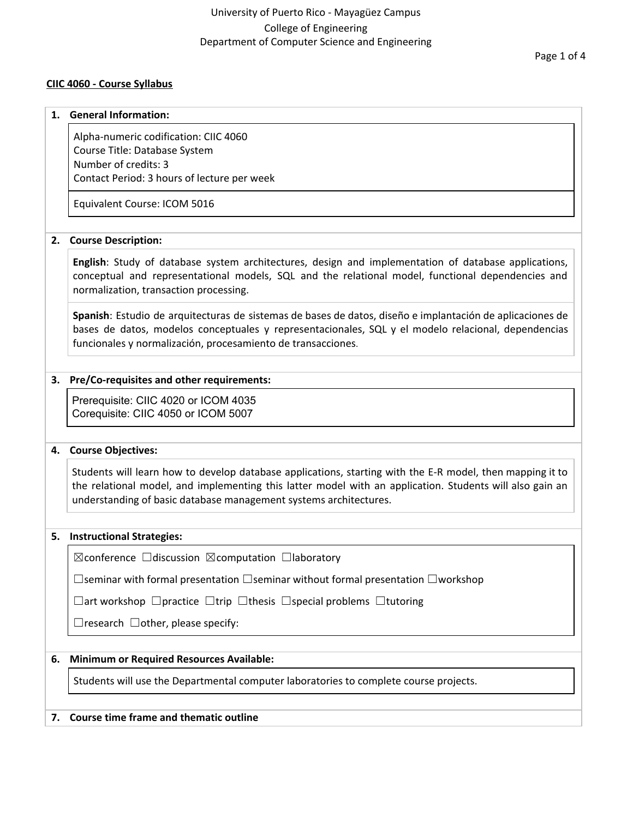## University of Puerto Rico - Mayagüez Campus College of Engineering Department of Computer Science and Engineering

### **CIIC 4060 - Course Syllabus**

#### **1. General Information:**

Alpha-numeric codification: CIIC 4060 Course Title: Database System Number of credits: 3 Contact Period: 3 hours of lecture per week

Equivalent Course: ICOM 5016

#### **2. Course Description:**

**English**: Study of database system architectures, design and implementation of database applications, conceptual and representational models, SQL and the relational model, functional dependencies and normalization, transaction processing.

**Spanish**: Estudio de arquitecturas de sistemas de bases de datos, diseño e implantación de aplicaciones de bases de datos, modelos conceptuales y representacionales, SQL y el modelo relacional, dependencias funcionales y normalización, procesamiento de transacciones.

#### **3. Pre/Co-requisites and other requirements:**

Prerequisite: CIIC 4020 or ICOM 4035 Corequisite: CIIC 4050 or ICOM 5007

#### **4. Course Objectives:**

Students will learn how to develop database applications, starting with the E-R model, then mapping it to the relational model, and implementing this latter model with an application. Students will also gain an understanding of basic database management systems architectures.

#### **5. Instructional Strategies:**

☒conference ☐discussion ☒computation ☐laboratory

☐seminar with formal presentation ☐seminar without formal presentation ☐workshop

☐art workshop ☐practice ☐trip ☐thesis ☐special problems ☐tutoring

 $\Box$ research  $\Box$ other, please specify:

## **6. Minimum or Required Resources Available:**

Students will use the Departmental computer laboratories to complete course projects.

#### **7. Course time frame and thematic outline**

Page 1 of 4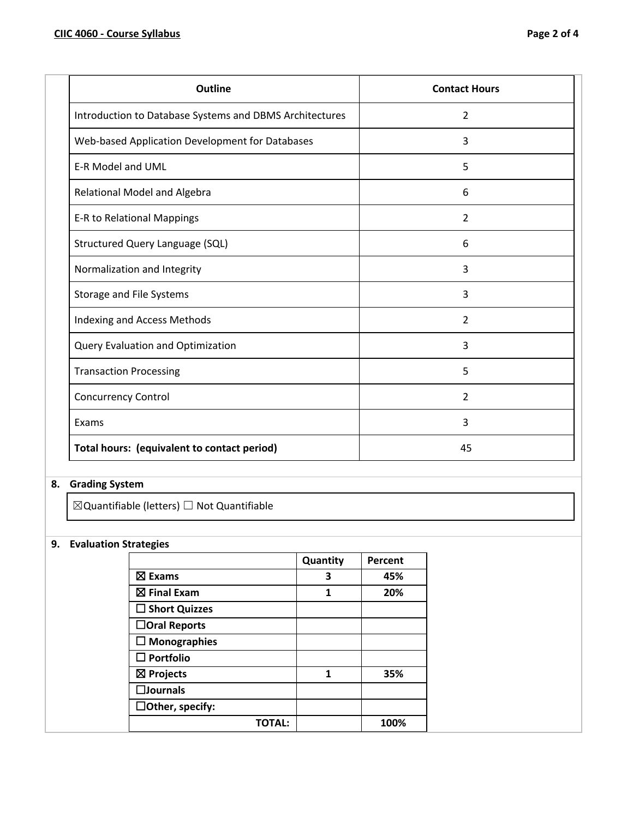| <b>Outline</b>                                          | <b>Contact Hours</b> |
|---------------------------------------------------------|----------------------|
| Introduction to Database Systems and DBMS Architectures | 2                    |
| Web-based Application Development for Databases         | 3                    |
| <b>E-R Model and UML</b>                                | 5                    |
| Relational Model and Algebra                            | 6                    |
| E-R to Relational Mappings                              | $\overline{2}$       |
| Structured Query Language (SQL)                         | 6                    |
| Normalization and Integrity                             | 3                    |
| Storage and File Systems                                | 3                    |
| Indexing and Access Methods                             | 2                    |
| Query Evaluation and Optimization                       | 3                    |
| <b>Transaction Processing</b>                           | 5                    |
| <b>Concurrency Control</b>                              | $\overline{2}$       |
| Exams                                                   | 3                    |
| Total hours: (equivalent to contact period)             | 45                   |

# **8. Grading System**

 $\boxtimes$ Quantifiable (letters)  $\Box$  Not Quantifiable

## **9. Evaluation Strategies**

|                         |        | Quantity | Percent |
|-------------------------|--------|----------|---------|
| $\boxtimes$ Exams       |        | 3        | 45%     |
| $\boxtimes$ Final Exam  |        | 1        | 20%     |
| $\square$ Short Quizzes |        |          |         |
| □Oral Reports           |        |          |         |
| $\square$ Monographies  |        |          |         |
| $\square$ Portfolio     |        |          |         |
| $\boxtimes$ Projects    |        | 1        | 35%     |
| $\square$ Journals      |        |          |         |
| $\Box$ Other, specify:  |        |          |         |
|                         | TOTAL: |          | 100%    |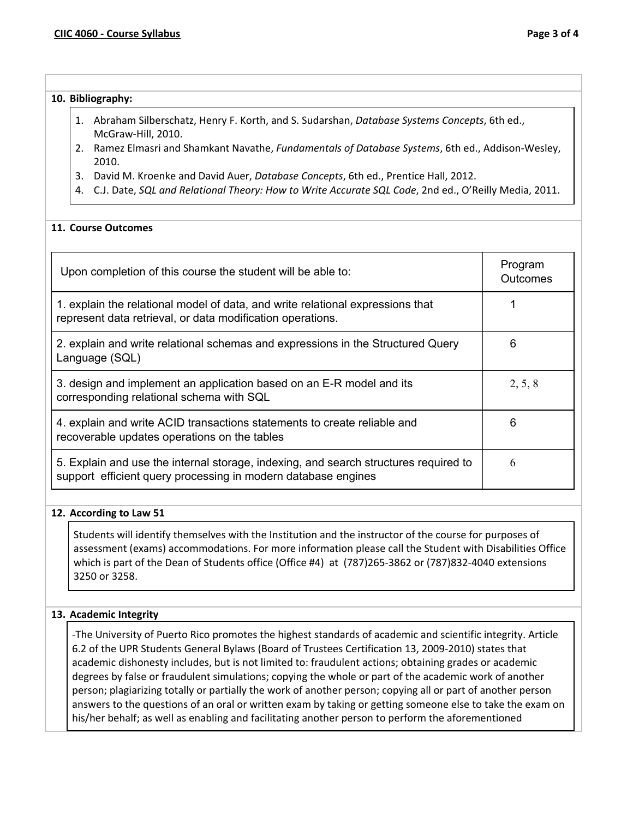## **10. Bibliography:**

- 1. Abraham Silberschatz, Henry F. Korth, and S. Sudarshan, *Database Systems Concepts*, 6th ed., McGraw-Hill, 2010.
- 2. Ramez Elmasri and Shamkant Navathe, *Fundamentals of Database Systems*, 6th ed., Addison-Wesley, 2010.
- 3. David M. Kroenke and David Auer, *Database Concepts*, 6th ed., Prentice Hall, 2012.
- 4. C.J. Date, *SQL and Relational Theory: How to Write Accurate SQL Code*, 2nd ed., O'Reilly Media, 2011.

## **11. Course Outcomes**

| Upon completion of this course the student will be able to:                                                                                           | Program<br>Outcomes |
|-------------------------------------------------------------------------------------------------------------------------------------------------------|---------------------|
| 1. explain the relational model of data, and write relational expressions that<br>represent data retrieval, or data modification operations.          |                     |
| 2. explain and write relational schemas and expressions in the Structured Query<br>Language (SQL)                                                     | 6                   |
| 3. design and implement an application based on an E-R model and its<br>corresponding relational schema with SQL                                      | 2, 5, 8             |
| 4. explain and write ACID transactions statements to create reliable and<br>recoverable updates operations on the tables                              | 6                   |
| 5. Explain and use the internal storage, indexing, and search structures required to<br>support efficient query processing in modern database engines | 6                   |

## **12. According to Law 51**

Students will identify themselves with the Institution and the instructor of the course for purposes of assessment (exams) accommodations. For more information please call the Student with Disabilities Office which is part of the Dean of Students office (Office #4) at (787)265-3862 or (787)832-4040 extensions 3250 or 3258.

## **13. Academic Integrity**

-The University of Puerto Rico promotes the highest standards of academic and scientific integrity. Article 6.2 of the UPR Students General Bylaws (Board of Trustees Certification 13, 2009-2010) states that academic dishonesty includes, but is not limited to: fraudulent actions; obtaining grades or academic degrees by false or fraudulent simulations; copying the whole or part of the academic work of another person; plagiarizing totally or partially the work of another person; copying all or part of another person answers to the questions of an oral or written exam by taking or getting someone else to take the exam on his/her behalf; as well as enabling and facilitating another person to perform the aforementioned